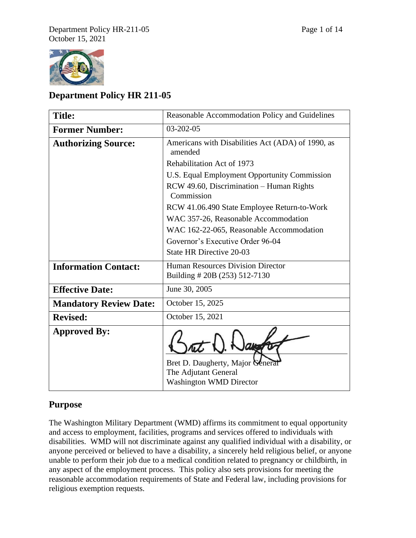

# **Department Policy HR 211-05**

| <b>Title:</b>                 | Reasonable Accommodation Policy and Guidelines                                             |
|-------------------------------|--------------------------------------------------------------------------------------------|
| <b>Former Number:</b>         | 03-202-05                                                                                  |
| <b>Authorizing Source:</b>    | Americans with Disabilities Act (ADA) of 1990, as<br>amended                               |
|                               | Rehabilitation Act of 1973                                                                 |
|                               | U.S. Equal Employment Opportunity Commission                                               |
|                               | RCW 49.60, Discrimination – Human Rights<br>Commission                                     |
|                               | RCW 41.06.490 State Employee Return-to-Work                                                |
|                               | WAC 357-26, Reasonable Accommodation                                                       |
|                               | WAC 162-22-065, Reasonable Accommodation                                                   |
|                               | Governor's Executive Order 96-04                                                           |
|                               | <b>State HR Directive 20-03</b>                                                            |
| <b>Information Contact:</b>   | <b>Human Resources Division Director</b><br>Building # 20B (253) 512-7130                  |
| <b>Effective Date:</b>        | June 30, 2005                                                                              |
| <b>Mandatory Review Date:</b> | October 15, 2025                                                                           |
| <b>Revised:</b>               | October 15, 2021                                                                           |
| <b>Approved By:</b>           | Bret D. Daugherty, Major General<br>The Adjutant General<br><b>Washington WMD Director</b> |

# **Purpose**

The Washington Military Department (WMD) affirms its commitment to equal opportunity and access to employment, facilities, programs and services offered to individuals with disabilities. WMD will not discriminate against any qualified individual with a disability, or anyone perceived or believed to have a disability, a sincerely held religious belief, or anyone unable to perform their job due to a medical condition related to pregnancy or childbirth, in any aspect of the employment process. This policy also sets provisions for meeting the reasonable accommodation requirements of State and Federal law, including provisions for religious exemption requests.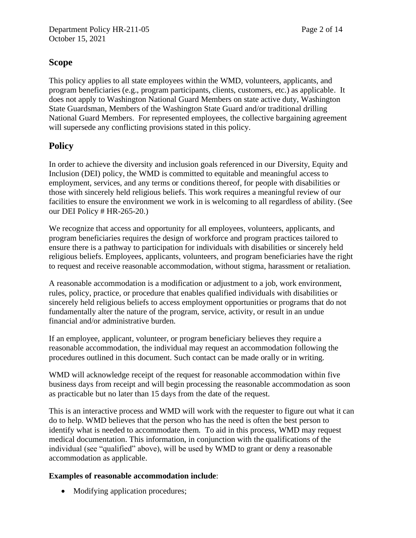# **Scope**

This policy applies to all state employees within the WMD, volunteers, applicants, and program beneficiaries (e.g., program participants, clients, customers, etc.) as applicable. It does not apply to Washington National Guard Members on state active duty, Washington State Guardsman, Members of the Washington State Guard and/or traditional drilling National Guard Members. For represented employees, the collective bargaining agreement will supersede any conflicting provisions stated in this policy.

# **Policy**

In order to achieve the diversity and inclusion goals referenced in our Diversity, Equity and Inclusion (DEI) policy, the WMD is committed to equitable and meaningful access to employment, services, and any terms or conditions thereof, for people with disabilities or those with sincerely held religious beliefs. This work requires a meaningful review of our facilities to ensure the environment we work in is welcoming to all regardless of ability. (See our DEI Policy # HR-265-20.)

We recognize that access and opportunity for all employees, volunteers, applicants, and program beneficiaries requires the design of workforce and program practices tailored to ensure there is a pathway to participation for individuals with disabilities or sincerely held religious beliefs. Employees, applicants, volunteers, and program beneficiaries have the right to request and receive reasonable accommodation, without stigma, harassment or retaliation.

A reasonable accommodation is a modification or adjustment to a job, work environment, rules, policy, practice, or procedure that enables qualified individuals with disabilities or sincerely held religious beliefs to access employment opportunities or programs that do not fundamentally alter the nature of the program, service, activity, or result in an undue financial and/or administrative burden.

If an employee, applicant, volunteer, or program beneficiary believes they require a reasonable accommodation, the individual may request an accommodation following the procedures outlined in this document. Such contact can be made orally or in writing.

WMD will acknowledge receipt of the request for reasonable accommodation within five business days from receipt and will begin processing the reasonable accommodation as soon as practicable but no later than 15 days from the date of the request.

This is an interactive process and WMD will work with the requester to figure out what it can do to help. WMD believes that the person who has the need is often the best person to identify what is needed to accommodate them. To aid in this process, WMD may request medical documentation. This information, in conjunction with the qualifications of the individual (see "qualified" above), will be used by WMD to grant or deny a reasonable accommodation as applicable.

# **Examples of reasonable accommodation include**:

• Modifying application procedures;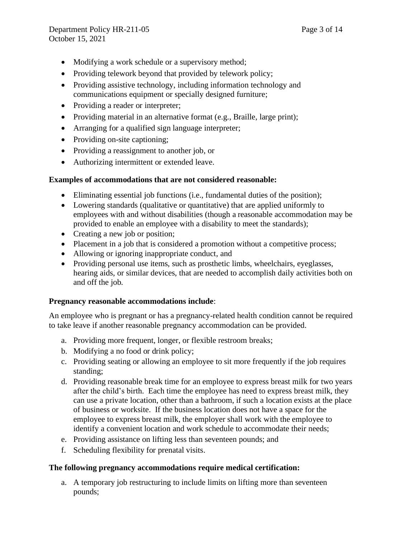- Modifying a work schedule or a supervisory method;
- Providing telework beyond that provided by telework policy;
- Providing assistive technology, including information technology and communications equipment or specially designed furniture;
- Providing a reader or interpreter;
- Providing material in an alternative format (e.g., Braille, large print);
- Arranging for a qualified sign language interpreter;
- Providing on-site captioning;
- Providing a reassignment to another job, or
- Authorizing intermittent or extended leave.

## **Examples of accommodations that are not considered reasonable:**

- Eliminating essential job functions (i.e., fundamental duties of the position);
- Lowering standards (qualitative or quantitative) that are applied uniformly to employees with and without disabilities (though a reasonable accommodation may be provided to enable an employee with a disability to meet the standards);
- Creating a new job or position;
- Placement in a job that is considered a promotion without a competitive process;
- Allowing or ignoring inappropriate conduct, and
- Providing personal use items, such as prosthetic limbs, wheelchairs, eyeglasses, hearing aids, or similar devices, that are needed to accomplish daily activities both on and off the job.

# **Pregnancy reasonable accommodations include**:

An employee who is pregnant or has a pregnancy-related health condition cannot be required to take leave if another reasonable pregnancy accommodation can be provided.

- a. Providing more frequent, longer, or flexible restroom breaks;
- b. Modifying a no food or drink policy;
- c. Providing seating or allowing an employee to sit more frequently if the job requires standing;
- d. Providing reasonable break time for an employee to express breast milk for two years after the child's birth. Each time the employee has need to express breast milk, they can use a private location, other than a bathroom, if such a location exists at the place of business or worksite. If the business location does not have a space for the employee to express breast milk, the employer shall work with the employee to identify a convenient location and work schedule to accommodate their needs;
- e. Providing assistance on lifting less than seventeen pounds; and
- f. Scheduling flexibility for prenatal visits.

# **The following pregnancy accommodations require medical certification:**

a. A temporary job restructuring to include limits on lifting more than seventeen pounds;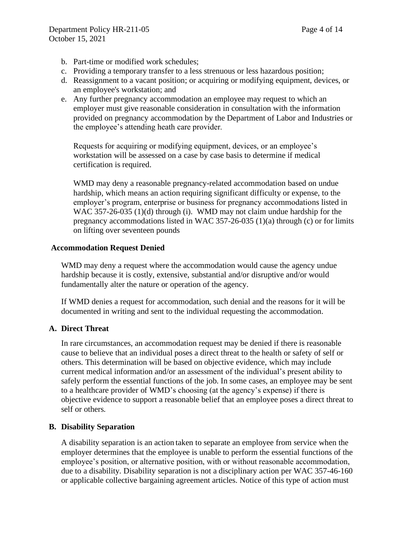- b. Part-time or modified work schedules;
- c. Providing a temporary transfer to a less strenuous or less hazardous position;
- d. Reassignment to a vacant position; or acquiring or modifying equipment, devices, or an employee's workstation; and
- e. Any further pregnancy accommodation an employee may request to which an employer must give reasonable consideration in consultation with the information provided on pregnancy accommodation by the Department of Labor and Industries or the employee's attending heath care provider.

Requests for acquiring or modifying equipment, devices, or an employee's workstation will be assessed on a case by case basis to determine if medical certification is required.

WMD may deny a reasonable pregnancy-related accommodation based on undue hardship, which means an action requiring significant difficulty or expense, to the employer's program, enterprise or business for pregnancy accommodations listed in WAC 357-26-035 (1)(d) through (i). WMD may not claim undue hardship for the pregnancy accommodations listed in WAC  $357-26-035$  (1)(a) through (c) or for limits on lifting over seventeen pounds

## **Accommodation Request Denied**

WMD may deny a request where the accommodation would cause the agency undue hardship because it is costly, extensive, substantial and/or disruptive and/or would fundamentally alter the nature or operation of the agency.

If WMD denies a request for accommodation, such denial and the reasons for it will be documented in writing and sent to the individual requesting the accommodation.

# **A. Direct Threat**

In rare circumstances, an accommodation request may be denied if there is reasonable cause to believe that an individual poses a direct threat to the health or safety of self or others. This determination will be based on objective evidence, which may include current medical information and/or an assessment of the individual's present ability to safely perform the essential functions of the job. In some cases, an employee may be sent to a healthcare provider of WMD's choosing (at the agency's expense) if there is objective evidence to support a reasonable belief that an employee poses a direct threat to self or others.

# **B. Disability Separation**

A disability separation is an action taken to separate an employee from service when the employer determines that the employee is unable to perform the essential functions of the employee's position, or alternative position, with or without reasonable accommodation, due to a disability. Disability separation is not a disciplinary action per WAC 357-46-160 or applicable collective bargaining agreement articles. Notice of this type of action must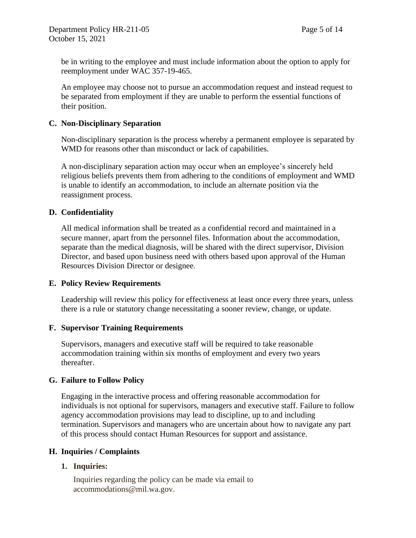be in writing to the employee and must include information about the option to apply for reemployment under WAC 357-19-465.

An employee may choose not to pursue an accommodation request and instead request to be separated from employment if they are unable to perform the essential functions of their position.

## **C. Non-Disciplinary Separation**

Non-disciplinary separation is the process whereby a permanent employee is separated by WMD for reasons other than misconduct or lack of capabilities.

A non-disciplinary separation action may occur when an employee's sincerely held religious beliefs prevents them from adhering to the conditions of employment and WMD is unable to identify an accommodation, to include an alternate position via the reassignment process.

## **D. Confidentiality**

All medical information shall be treated as a confidential record and maintained in a secure manner, apart from the personnel files. Information about the accommodation, separate than the medical diagnosis, will be shared with the direct supervisor, Division Director, and based upon business need with others based upon approval of the Human Resources Division Director or designee.

#### **E. Policy Review Requirements**

Leadership will review this policy for effectiveness at least once every three years, unless there is a rule or statutory change necessitating a sooner review, change, or update.

#### **F. Supervisor Training Requirements**

Supervisors, managers and executive staff will be required to take reasonable accommodation training within six months of employment and every two years thereafter.

# **G. Failure to Follow Policy**

Engaging in the interactive process and offering reasonable accommodation for individuals is not optional for supervisors, managers and executive staff. Failure to follow agency accommodation provisions may lead to discipline, up to and including termination. Supervisors and managers who are uncertain about how to navigate any part of this process should contact Human Resources for support and assistance.

#### **H. Inquiries / Complaints**

#### **1. Inquiries:**

Inquiries regarding the policy can be made via email to accommodations@mil.wa.gov.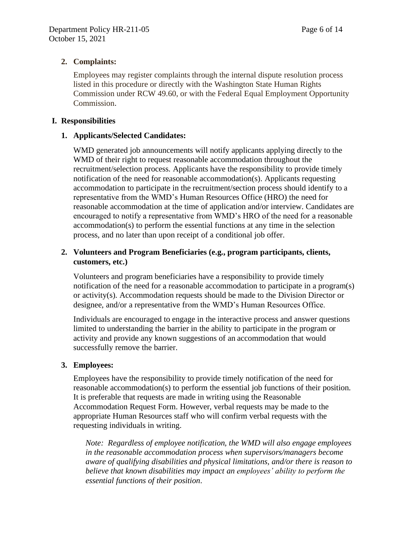# **2. Complaints:**

Employees may register complaints through the internal dispute resolution process listed in this procedure or directly with the Washington State Human Rights Commission under RCW 49.60, or with the Federal Equal Employment Opportunity Commission.

## **I. Responsibilities**

## **1. Applicants/Selected Candidates:**

WMD generated job announcements will notify applicants applying directly to the WMD of their right to request reasonable accommodation throughout the recruitment/selection process. Applicants have the responsibility to provide timely notification of the need for reasonable accommodation(s). Applicants requesting accommodation to participate in the recruitment/section process should identify to a representative from the WMD's Human Resources Office (HRO) the need for reasonable accommodation at the time of application and/or interview. Candidates are encouraged to notify a representative from WMD's HRO of the need for a reasonable accommodation(s) to perform the essential functions at any time in the selection process, and no later than upon receipt of a conditional job offer.

# **2. Volunteers and Program Beneficiaries (e.g., program participants, clients, customers, etc.)**

Volunteers and program beneficiaries have a responsibility to provide timely notification of the need for a reasonable accommodation to participate in a program(s) or activity(s). Accommodation requests should be made to the Division Director or designee, and/or a representative from the WMD's Human Resources Office.

Individuals are encouraged to engage in the interactive process and answer questions limited to understanding the barrier in the ability to participate in the program or activity and provide any known suggestions of an accommodation that would successfully remove the barrier.

#### **3. Employees:**

Employees have the responsibility to provide timely notification of the need for reasonable accommodation(s) to perform the essential job functions of their position. It is preferable that requests are made in writing using the Reasonable Accommodation Request Form. However, verbal requests may be made to the appropriate Human Resources staff who will confirm verbal requests with the requesting individuals in writing.

*Note: Regardless of employee notification, the WMD will also engage employees in the reasonable accommodation process when supervisors/managers become aware of qualifying disabilities and physical limitations, and/or there is reason to believe that known disabilities may impact an employees' ability to perform the essential functions of their position*.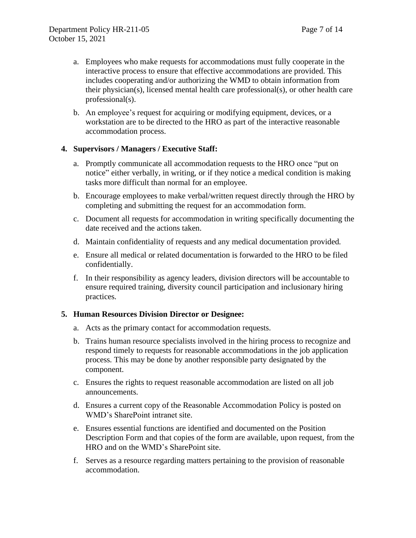- a. Employees who make requests for accommodations must fully cooperate in the interactive process to ensure that effective accommodations are provided. This includes cooperating and/or authorizing the WMD to obtain information from their physician(s), licensed mental health care professional(s), or other health care professional(s).
- b. An employee's request for acquiring or modifying equipment, devices, or a workstation are to be directed to the HRO as part of the interactive reasonable accommodation process.

#### **4. Supervisors / Managers / Executive Staff:**

- a. Promptly communicate all accommodation requests to the HRO once "put on notice" either verbally, in writing, or if they notice a medical condition is making tasks more difficult than normal for an employee.
- b. Encourage employees to make verbal/written request directly through the HRO by completing and submitting the request for an accommodation form.
- c. Document all requests for accommodation in writing specifically documenting the date received and the actions taken.
- d. Maintain confidentiality of requests and any medical documentation provided.
- e. Ensure all medical or related documentation is forwarded to the HRO to be filed confidentially.
- f. In their responsibility as agency leaders, division directors will be accountable to ensure required training, diversity council participation and inclusionary hiring practices.

#### **5. Human Resources Division Director or Designee:**

- a. Acts as the primary contact for accommodation requests.
- b. Trains human resource specialists involved in the hiring process to recognize and respond timely to requests for reasonable accommodations in the job application process. This may be done by another responsible party designated by the component.
- c. Ensures the rights to request reasonable accommodation are listed on all job announcements.
- d. Ensures a current copy of the Reasonable Accommodation Policy is posted on WMD's SharePoint intranet site.
- e. Ensures essential functions are identified and documented on the Position Description Form and that copies of the form are available, upon request, from the HRO and on the WMD's SharePoint site.
- f. Serves as a resource regarding matters pertaining to the provision of reasonable accommodation.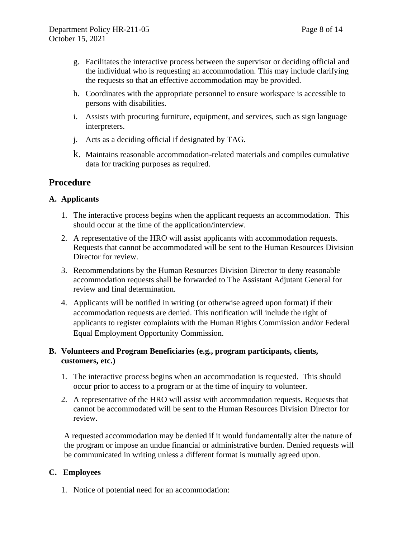- g. Facilitates the interactive process between the supervisor or deciding official and the individual who is requesting an accommodation. This may include clarifying the requests so that an effective accommodation may be provided.
- h. Coordinates with the appropriate personnel to ensure workspace is accessible to persons with disabilities.
- i. Assists with procuring furniture, equipment, and services, such as sign language interpreters.
- j. Acts as a deciding official if designated by TAG.
- k. Maintains reasonable accommodation-related materials and compiles cumulative data for tracking purposes as required.

# **Procedure**

# **A. Applicants**

- 1. The interactive process begins when the applicant requests an accommodation. This should occur at the time of the application/interview.
- 2. A representative of the HRO will assist applicants with accommodation requests. Requests that cannot be accommodated will be sent to the Human Resources Division Director for review.
- 3. Recommendations by the Human Resources Division Director to deny reasonable accommodation requests shall be forwarded to The Assistant Adjutant General for review and final determination.
- 4. Applicants will be notified in writing (or otherwise agreed upon format) if their accommodation requests are denied. This notification will include the right of applicants to register complaints with the Human Rights Commission and/or Federal Equal Employment Opportunity Commission.

# **B. Volunteers and Program Beneficiaries (e.g., program participants, clients, customers, etc.)**

- 1. The interactive process begins when an accommodation is requested. This should occur prior to access to a program or at the time of inquiry to volunteer.
- 2. A representative of the HRO will assist with accommodation requests. Requests that cannot be accommodated will be sent to the Human Resources Division Director for review.

A requested accommodation may be denied if it would fundamentally alter the nature of the program or impose an undue financial or administrative burden. Denied requests will be communicated in writing unless a different format is mutually agreed upon.

# **C. Employees**

1. Notice of potential need for an accommodation: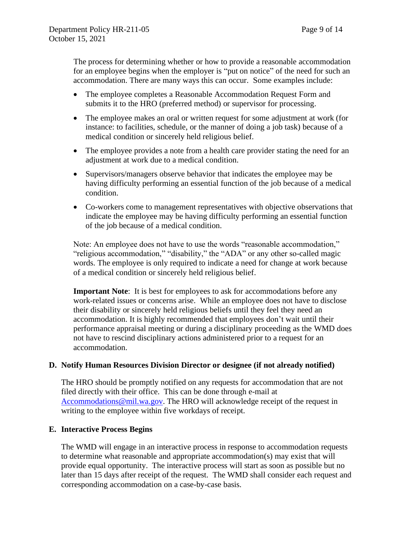The process for determining whether or how to provide a reasonable accommodation for an employee begins when the employer is "put on notice" of the need for such an accommodation. There are many ways this can occur. Some examples include:

- The employee completes a Reasonable Accommodation Request Form and submits it to the HRO (preferred method) or supervisor for processing.
- The employee makes an oral or written request for some adjustment at work (for instance: to facilities, schedule, or the manner of doing a job task) because of a medical condition or sincerely held religious belief.
- The employee provides a note from a health care provider stating the need for an adjustment at work due to a medical condition.
- Supervisors/managers observe behavior that indicates the employee may be having difficulty performing an essential function of the job because of a medical condition.
- Co-workers come to management representatives with objective observations that indicate the employee may be having difficulty performing an essential function of the job because of a medical condition.

Note: An employee does not have to use the words "reasonable accommodation," "religious accommodation," "disability," the "ADA" or any other so-called magic words. The employee is only required to indicate a need for change at work because of a medical condition or sincerely held religious belief.

**Important Note**: It is best for employees to ask for accommodations before any work-related issues or concerns arise. While an employee does not have to disclose their disability or sincerely held religious beliefs until they feel they need an accommodation. It is highly recommended that employees don't wait until their performance appraisal meeting or during a disciplinary proceeding as the WMD does not have to rescind disciplinary actions administered prior to a request for an accommodation.

#### **D. Notify Human Resources Division Director or designee (if not already notified)**

The HRO should be promptly notified on any requests for accommodation that are not filed directly with their office. This can be done through e-mail at [Accommodations@mil.wa.gov.](mailto:Accommodations@mil.wa.gov) The HRO will acknowledge receipt of the request in writing to the employee within five workdays of receipt.

#### **E. Interactive Process Begins**

The WMD will engage in an interactive process in response to accommodation requests to determine what reasonable and appropriate accommodation(s) may exist that will provide equal opportunity. The interactive process will start as soon as possible but no later than 15 days after receipt of the request. The WMD shall consider each request and corresponding accommodation on a case-by-case basis.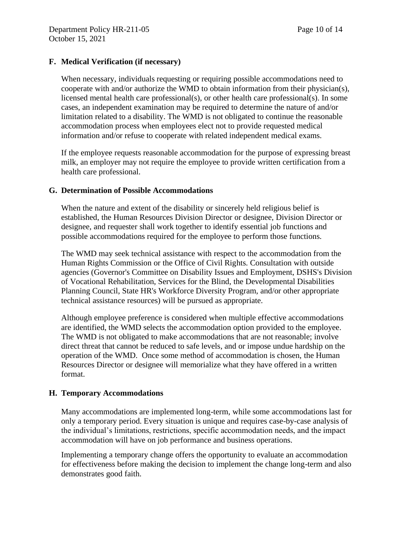# **F. Medical Verification (if necessary)**

When necessary, individuals requesting or requiring possible accommodations need to cooperate with and/or authorize the WMD to obtain information from their physician(s), licensed mental health care professional(s), or other health care professional(s). In some cases, an independent examination may be required to determine the nature of and/or limitation related to a disability. The WMD is not obligated to continue the reasonable accommodation process when employees elect not to provide requested medical information and/or refuse to cooperate with related independent medical exams.

If the employee requests reasonable accommodation for the purpose of expressing breast milk, an employer may not require the employee to provide written certification from a health care professional.

## **G. Determination of Possible Accommodations**

When the nature and extent of the disability or sincerely held religious belief is established, the Human Resources Division Director or designee, Division Director or designee, and requester shall work together to identify essential job functions and possible accommodations required for the employee to perform those functions.

The WMD may seek technical assistance with respect to the accommodation from the Human Rights Commission or the Office of Civil Rights. Consultation with outside agencies (Governor's Committee on Disability Issues and Employment, DSHS's Division of Vocational Rehabilitation, Services for the Blind, the Developmental Disabilities Planning Council, State HR's Workforce Diversity Program, and/or other appropriate technical assistance resources) will be pursued as appropriate.

Although employee preference is considered when multiple effective accommodations are identified, the WMD selects the accommodation option provided to the employee. The WMD is not obligated to make accommodations that are not reasonable; involve direct threat that cannot be reduced to safe levels, and or impose undue hardship on the operation of the WMD. Once some method of accommodation is chosen, the Human Resources Director or designee will memorialize what they have offered in a written format.

# **H. Temporary Accommodations**

Many accommodations are implemented long-term, while some accommodations last for only a temporary period. Every situation is unique and requires case-by-case analysis of the individual's limitations, restrictions, specific accommodation needs, and the impact accommodation will have on job performance and business operations.

Implementing a temporary change offers the opportunity to evaluate an accommodation for effectiveness before making the decision to implement the change long-term and also demonstrates good faith.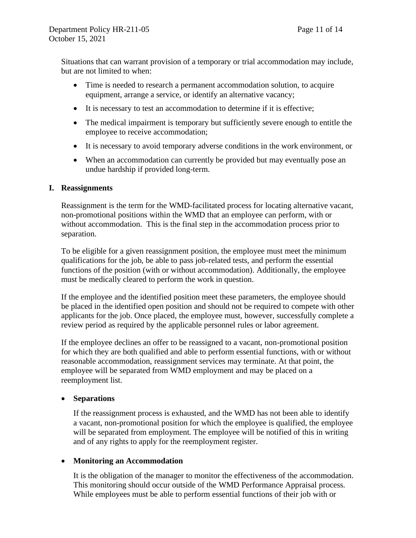Situations that can warrant provision of a temporary or trial accommodation may include, but are not limited to when:

- Time is needed to research a permanent accommodation solution, to acquire equipment, arrange a service, or identify an alternative vacancy;
- It is necessary to test an accommodation to determine if it is effective;
- The medical impairment is temporary but sufficiently severe enough to entitle the employee to receive accommodation;
- It is necessary to avoid temporary adverse conditions in the work environment, or
- When an accommodation can currently be provided but may eventually pose an undue hardship if provided long-term.

#### **I. Reassignments**

Reassignment is the term for the WMD-facilitated process for locating alternative vacant, non-promotional positions within the WMD that an employee can perform, with or without accommodation. This is the final step in the accommodation process prior to separation.

To be eligible for a given reassignment position, the employee must meet the minimum qualifications for the job, be able to pass job-related tests, and perform the essential functions of the position (with or without accommodation). Additionally, the employee must be medically cleared to perform the work in question.

If the employee and the identified position meet these parameters, the employee should be placed in the identified open position and should not be required to compete with other applicants for the job. Once placed, the employee must, however, successfully complete a review period as required by the applicable personnel rules or labor agreement.

If the employee declines an offer to be reassigned to a vacant, non-promotional position for which they are both qualified and able to perform essential functions, with or without reasonable accommodation, reassignment services may terminate. At that point, the employee will be separated from WMD employment and may be placed on a reemployment list.

# • **Separations**

If the reassignment process is exhausted, and the WMD has not been able to identify a vacant, non-promotional position for which the employee is qualified, the employee will be separated from employment. The employee will be notified of this in writing and of any rights to apply for the reemployment register.

# • **Monitoring an Accommodation**

It is the obligation of the manager to monitor the effectiveness of the accommodation. This monitoring should occur outside of the WMD Performance Appraisal process. While employees must be able to perform essential functions of their job with or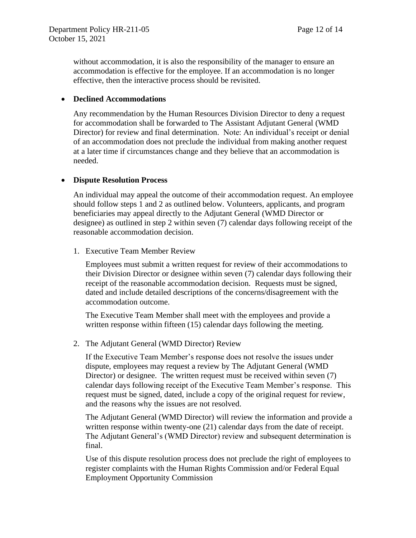without accommodation, it is also the responsibility of the manager to ensure an accommodation is effective for the employee. If an accommodation is no longer effective, then the interactive process should be revisited.

### • **Declined Accommodations**

Any recommendation by the Human Resources Division Director to deny a request for accommodation shall be forwarded to The Assistant Adjutant General (WMD Director) for review and final determination. Note: An individual's receipt or denial of an accommodation does not preclude the individual from making another request at a later time if circumstances change and they believe that an accommodation is needed.

## • **Dispute Resolution Process**

An individual may appeal the outcome of their accommodation request. An employee should follow steps 1 and 2 as outlined below. Volunteers, applicants, and program beneficiaries may appeal directly to the Adjutant General (WMD Director or designee) as outlined in step 2 within seven (7) calendar days following receipt of the reasonable accommodation decision.

1. Executive Team Member Review

Employees must submit a written request for review of their accommodations to their Division Director or designee within seven (7) calendar days following their receipt of the reasonable accommodation decision. Requests must be signed, dated and include detailed descriptions of the concerns/disagreement with the accommodation outcome.

The Executive Team Member shall meet with the employees and provide a written response within fifteen (15) calendar days following the meeting.

2. The Adjutant General (WMD Director) Review

If the Executive Team Member's response does not resolve the issues under dispute, employees may request a review by The Adjutant General (WMD Director) or designee. The written request must be received within seven (7) calendar days following receipt of the Executive Team Member's response. This request must be signed, dated, include a copy of the original request for review, and the reasons why the issues are not resolved.

The Adjutant General (WMD Director) will review the information and provide a written response within twenty-one (21) calendar days from the date of receipt. The Adjutant General's (WMD Director) review and subsequent determination is final.

Use of this dispute resolution process does not preclude the right of employees to register complaints with the Human Rights Commission and/or Federal Equal Employment Opportunity Commission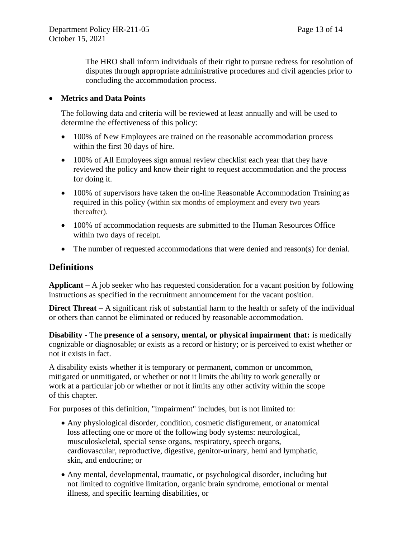The HRO shall inform individuals of their right to pursue redress for resolution of disputes through appropriate administrative procedures and civil agencies prior to concluding the accommodation process.

## • **Metrics and Data Points**

The following data and criteria will be reviewed at least annually and will be used to determine the effectiveness of this policy:

- 100% of New Employees are trained on the reasonable accommodation process within the first 30 days of hire.
- 100% of All Employees sign annual review checklist each year that they have reviewed the policy and know their right to request accommodation and the process for doing it.
- 100% of supervisors have taken the on-line Reasonable Accommodation Training as required in this policy (within six months of employment and every two years thereafter).
- 100% of accommodation requests are submitted to the Human Resources Office within two days of receipt.
- The number of requested accommodations that were denied and reason(s) for denial.

# **Definitions**

**Applicant –** A job seeker who has requested consideration for a vacant position by following instructions as specified in the recruitment announcement for the vacant position.

**Direct Threat** – A significant risk of substantial harm to the health or safety of the individual or others than cannot be eliminated or reduced by reasonable accommodation.

**Disability** - The **presence of a sensory, mental, or physical impairment that:** is medically cognizable or diagnosable; or exists as a record or history; or is perceived to exist whether or not it exists in fact.

A disability exists whether it is temporary or permanent, common or uncommon, mitigated or unmitigated, or whether or not it limits the ability to work generally or work at a particular job or whether or not it limits any other activity within the scope of this chapter.

For purposes of this definition, "impairment" includes, but is not limited to:

- Any physiological disorder, condition, cosmetic disfigurement, or anatomical loss affecting one or more of the following body systems: neurological, musculoskeletal, special sense organs, respiratory, speech organs, cardiovascular, reproductive, digestive, genitor-urinary, hemi and lymphatic, skin, and endocrine; or
- Any mental, developmental, traumatic, or psychological disorder, including but not limited to cognitive limitation, organic brain syndrome, emotional or mental illness, and specific learning disabilities, or